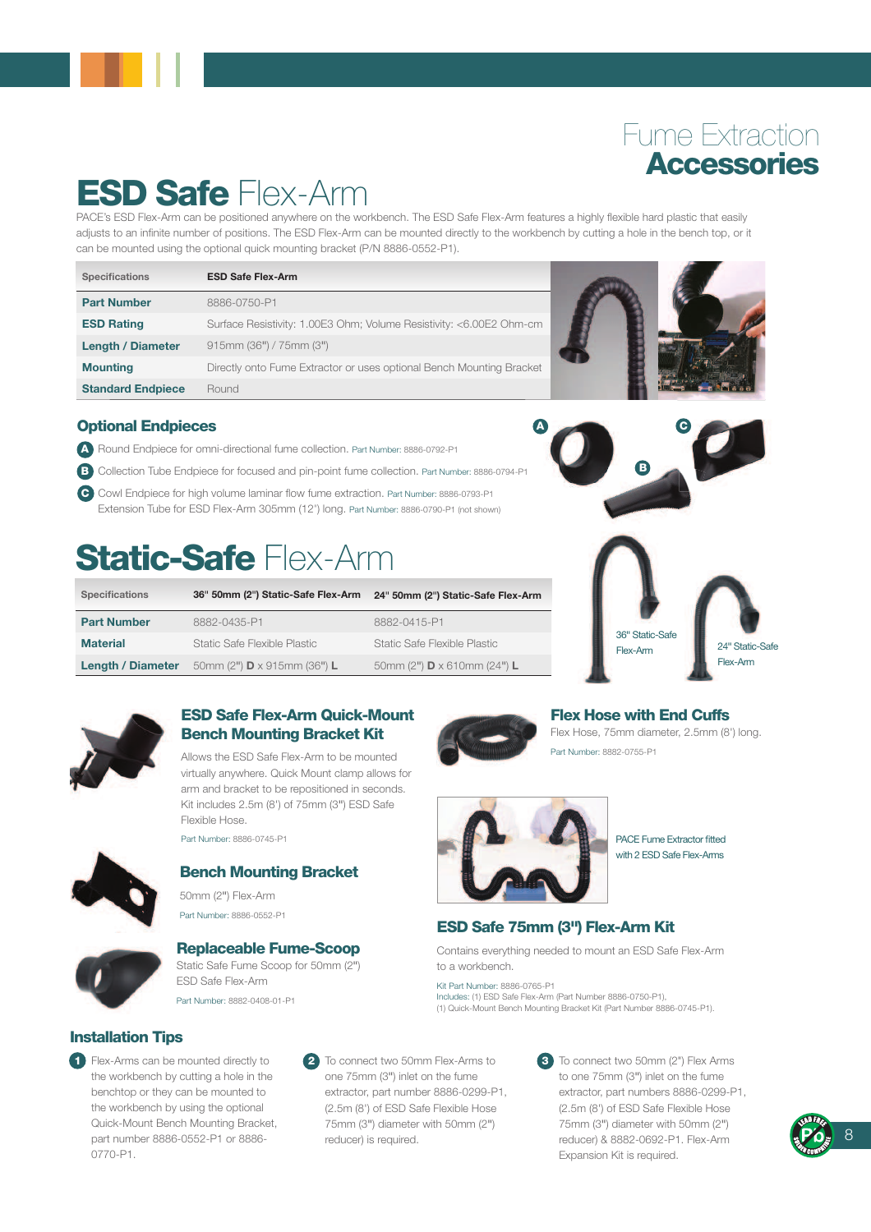## Fume Extraction **Accessories**

# ESD Safe Flex-Arm

PACE's ESD Flex-Arm can be positioned anywhere on the workbench. The ESD Safe Flex-Arm features a highly flexible hard plastic that easily adjusts to an infinite number of positions. The ESD Flex-Arm can be mounted directly to the workbench by cutting a hole in the bench top, or it can be mounted using the optional quick mounting bracket (P/N 8886-0552-P1).

| <b>Specifications</b>    | <b>ESD Safe Flex-Arm</b>                                             |  |
|--------------------------|----------------------------------------------------------------------|--|
| <b>Part Number</b>       | 8886-0750-P1                                                         |  |
| <b>ESD Rating</b>        | Surface Resistivity: 1.00E3 Ohm; Volume Resistivity: <6.00E2 Ohm-cm  |  |
| <b>Length / Diameter</b> | 915mm (36") / 75mm (3")                                              |  |
| <b>Mounting</b>          | Directly onto Fume Extractor or uses optional Bench Mounting Bracket |  |
| <b>Standard Endpiece</b> | Round                                                                |  |



#### Optional Endpieces

- A Round Endpiece for omni-directional fume collection. Part Number: 8886-0792-P1
- B Collection Tube Endpiece for focused and pin-point fume collection. Part Number: 8886-0794-P1
- C Cowl Endpiece for high volume laminar flow fume extraction. Part Number: 8886-0793-P1 Extension Tube for ESD Flex-Arm 305mm (12") long. Part Number: 8886-0790-P1 (not shown)

# **Static-Safe Flex-Arm**

| <b>Specifications</b>    | 36" 50mm (2") Static-Safe Flex-Arm  | 24" 50mm (2") Static-Safe Flex-Arm  |
|--------------------------|-------------------------------------|-------------------------------------|
| <b>Part Number</b>       | 8882-0435-P1                        | 8882-0415-P1                        |
| <b>Material</b>          | Static Safe Flexible Plastic        | Static Safe Flexible Plastic        |
| <b>Length / Diameter</b> | 50mm (2") $D \times 915$ mm (36") L | 50mm (2") $D \times 610$ mm (24") L |



#### ESD Safe Flex-Arm Quick-Mount Bench Mounting Bracket Kit

Allows the ESD Safe Flex-Arm to be mounted virtually anywhere. Quick Mount clamp allows for arm and bracket to be repositioned in seconds. Kit includes 2.5m (8') of 75mm (3") ESD Safe Flexible Hose.

Part Number: 8886-0745-P1



### Bench Mounting Bracket

50mm (2") Flex-Arm Part Number: 8886-0552-P1



#### Replaceable Fume-Scoop Static Safe Fume Scoop for 50mm (2")

ESD Safe Flex-Arm Part Number: 8882-0408-01-P1













Part Number: 8882-0755-P1



PACE Fume Extractor fitted with 2 ESD Safe Flex-Arms

### ESD Safe 75mm (3") Flex-Arm Kit

Contains everything needed to mount an ESD Safe Flex-Arm to a workbench.

Kit Part Number: 8886-0765-P1 Includes: (1) ESD Safe Flex-Arm (Part Number 8886-0750-P1), (1) Quick-Mount Bench Mounting Bracket Kit (Part Number 8886-0745-P1).